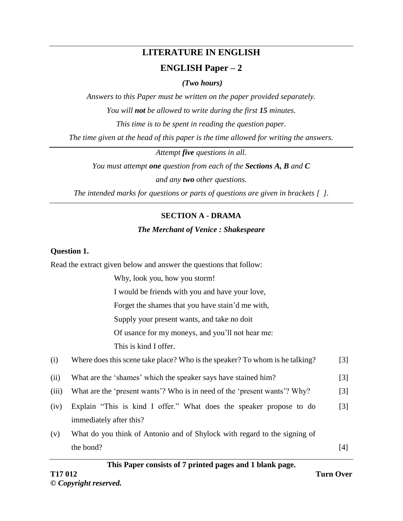# **LITERATURE IN ENGLISH ENGLISH Paper – 2**

*(Two hours)*

*Answers to this Paper must be written on the paper provided separately. You will not be allowed to write during the first 15 minutes. This time is to be spent in reading the question paper.*

*The time given at the head of this paper is the time allowed for writing the answers.*

*Attempt five questions in all.*

*You must attempt one question from each of the Sections A, B and C and any two other questions.*

*The intended marks for questions or parts of questions are given in brackets [ ].*

# **SECTION A - DRAMA**

# *The Merchant of Venice : Shakespeare*

# **Question 1.**

Read the extract given below and answer the questions that follow:

Why, look you, how you storm! I would be friends with you and have your love, Forget the shames that you have stain'd me with,

Supply your present wants, and take no doit

Of usance for my moneys, and you'll not hear me:

This is kind I offer.

| (i) | Where does this scene take place? Who is the speaker? To whom is he talking? | $[3]$ |
|-----|------------------------------------------------------------------------------|-------|
|-----|------------------------------------------------------------------------------|-------|

- (ii) What are the 'shames' which the speaker says have stained him? [3]
- (iii) What are the 'present wants'? Who is in need of the 'present wants'? Why? [3]
- (iv) Explain "This is kind I offer." What does the speaker propose to do immediately after this? [3]
- (v) What do you think of Antonio and of Shylock with regard to the signing of the bond?  $[4]$

# **This Paper consists of 7 printed pages and 1 blank page.**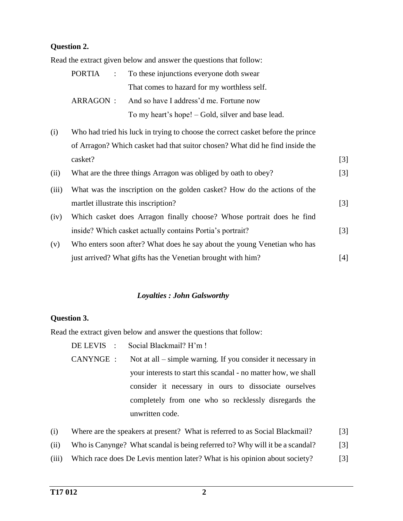# **Question 2.**

Read the extract given below and answer the questions that follow:

|  |  | PORTIA : To these injunctions everyone doth swear |
|--|--|---------------------------------------------------|
|  |  | That comes to hazard for my worthless self.       |
|  |  | ARRAGON : And so have I address'd me. Fortune now |
|  |  | To my heart's hope! – Gold, silver and base lead. |
|  |  |                                                   |

(i) Who had tried his luck in trying to choose the correct casket before the prince of Arragon? Which casket had that suitor chosen? What did he find inside the casket? [3]

| (ii)  | What are the three things Arragon was obliged by oath to obey?           | [3]               |
|-------|--------------------------------------------------------------------------|-------------------|
| (iii) | What was the inscription on the golden casket? How do the actions of the |                   |
|       | martlet illustrate this inscription?                                     | $\lceil 3 \rceil$ |
| (iv)  | Which casket does Arragon finally choose? Whose portrait does he find    |                   |
|       | inside? Which casket actually contains Portia's portrait?                | $\lceil 3 \rceil$ |
| (v)   | Who enters soon after? What does he say about the young Venetian who has |                   |
|       | just arrived? What gifts has the Venetian brought with him?              | [4]               |

#### *Loyalties : John Galsworthy*

#### **Question 3.**

Read the extract given below and answer the questions that follow:

|           | DE LEVIS : Social Blackmail? H'm !                             |
|-----------|----------------------------------------------------------------|
| CANYNGE : | Not at all – simple warning. If you consider it necessary in   |
|           | your interests to start this scandal - no matter how, we shall |
|           | consider it necessary in ours to dissociate ourselves          |
|           | completely from one who so recklessly disregards the           |
|           | unwritten code.                                                |
|           |                                                                |

| (i) |  |  | Where are the speakers at present? What is referred to as Social Blackmail? | $[3]$ |
|-----|--|--|-----------------------------------------------------------------------------|-------|
|-----|--|--|-----------------------------------------------------------------------------|-------|

- (ii) Who is Canynge? What scandal is being referred to? Why will it be a scandal? [3]
- (iii) Which race does De Levis mention later? What is his opinion about society? [3]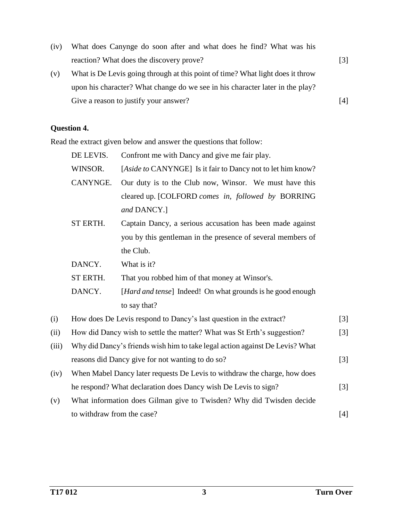(iv) What does Canynge do soon after and what does he find? What was his reaction? What does the discovery prove? [3] (v) What is De Levis going through at this point of time? What light does it throw upon his character? What change do we see in his character later in the play?

Give a reason to justify your answer? [4]

# **Question 4.**

Read the extract given below and answer the questions that follow:

|       | DE LEVIS.                  | Confront me with Dancy and give me fair play.                                |       |
|-------|----------------------------|------------------------------------------------------------------------------|-------|
|       | WINSOR.                    | [Aside to CANYNGE] Is it fair to Dancy not to let him know?                  |       |
|       | CANYNGE.                   | Our duty is to the Club now, Winsor. We must have this                       |       |
|       |                            | cleared up. [COLFORD comes in, followed by BORRING                           |       |
|       |                            | and DANCY.]                                                                  |       |
|       | ST ERTH.                   | Captain Dancy, a serious accusation has been made against                    |       |
|       |                            | you by this gentleman in the presence of several members of                  |       |
|       |                            | the Club.                                                                    |       |
|       | DANCY.                     | What is it?                                                                  |       |
|       | ST ERTH.                   | That you robbed him of that money at Winsor's.                               |       |
|       | DANCY.                     | [Hard and tense] Indeed! On what grounds is he good enough                   |       |
|       |                            | to say that?                                                                 |       |
| (i)   |                            | How does De Levis respond to Dancy's last question in the extract?           | $[3]$ |
| (ii)  |                            | How did Dancy wish to settle the matter? What was St Erth's suggestion?      | [3]   |
| (iii) |                            | Why did Dancy's friends wish him to take legal action against De Levis? What |       |
|       |                            | reasons did Dancy give for not wanting to do so?                             | [3]   |
| (iv)  |                            | When Mabel Dancy later requests De Levis to withdraw the charge, how does    |       |
|       |                            | he respond? What declaration does Dancy wish De Levis to sign?               | $[3]$ |
| (v)   |                            | What information does Gilman give to Twisden? Why did Twisden decide         |       |
|       | to withdraw from the case? |                                                                              | $[4]$ |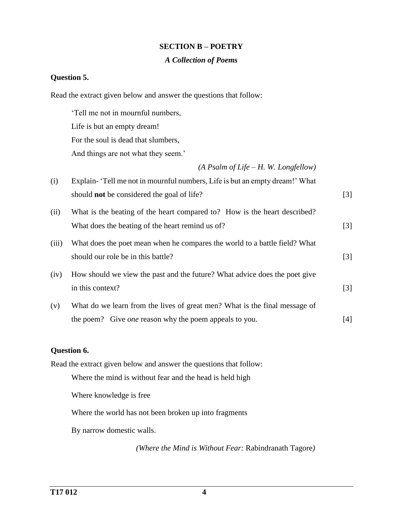# **SECTION B – POETRY**

#### *A Collection of Poems*

# **Question 5.**

Read the extract given below and answer the questions that follow:

'Tell me not in mournful numbers, Life is but an empty dream! For the soul is dead that slumbers, And things are not what they seem.'

*(A Psalm of Life – H. W. Longfellow)*

| (i)   | Explain- 'Tell me not in mournful numbers, Life is but an empty dream!' What |                   |
|-------|------------------------------------------------------------------------------|-------------------|
|       | should <b>not</b> be considered the goal of life?                            | $\lceil 3 \rceil$ |
| (ii)  | What is the beating of the heart compared to? How is the heart described?    |                   |
|       | What does the beating of the heart remind us of?                             | $\lceil 3 \rceil$ |
| (iii) | What does the poet mean when he compares the world to a battle field? What   |                   |
|       | should our role be in this battle?                                           | $\lceil 3 \rceil$ |
| (iv)  | How should we view the past and the future? What advice does the poet give   |                   |
|       | in this context?                                                             | $\lceil 3 \rceil$ |
| (v)   | What do we learn from the lives of great men? What is the final message of   |                   |
|       | the poem? Give <i>one</i> reason why the poem appeals to you.                | [4]               |

# **Question 6.**

Read the extract given below and answer the questions that follow:

Where the mind is without fear and the head is held high

Where knowledge is free

Where the world has not been broken up into fragments

By narrow domestic walls.

*(Where the Mind is Without Fear:* Rabindranath Tagore*)*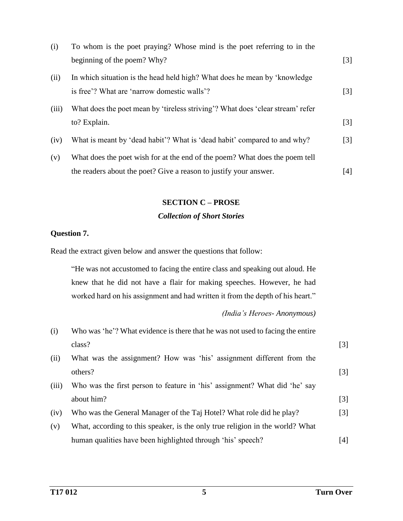| (i)   | To whom is the poet praying? Whose mind is the poet referring to in the        |                   |
|-------|--------------------------------------------------------------------------------|-------------------|
|       | beginning of the poem? Why?                                                    | $\lceil 3 \rceil$ |
| (ii)  | In which situation is the head held high? What does he mean by 'knowledge      |                   |
|       | is free'? What are 'narrow domestic walls'?                                    | $\lceil 3 \rceil$ |
| (iii) | What does the poet mean by 'tireless striving'? What does 'clear stream' refer |                   |
|       | to? Explain.                                                                   | $\lceil 3 \rceil$ |
| (iv)  | What is meant by 'dead habit'? What is 'dead habit' compared to and why?       | [3]               |
| (v)   | What does the poet wish for at the end of the poem? What does the poem tell    |                   |
|       | the readers about the poet? Give a reason to justify your answer.              | [4]               |

#### **SECTION C – PROSE**

# *Collection of Short Stories*

# **Question 7.**

Read the extract given below and answer the questions that follow:

"He was not accustomed to facing the entire class and speaking out aloud. He knew that he did not have a flair for making speeches. However, he had worked hard on his assignment and had written it from the depth of his heart."

# *(India's Heroes- Anonymous)*

| (i)   | Who was 'he'? What evidence is there that he was not used to facing the entire |                   |
|-------|--------------------------------------------------------------------------------|-------------------|
|       | class?                                                                         | $\lceil 3 \rceil$ |
| (ii)  | What was the assignment? How was 'his' assignment different from the           |                   |
|       | others?                                                                        | $[3]$             |
| (iii) | Who was the first person to feature in 'his' assignment? What did 'he' say     |                   |
|       | about him?                                                                     | $[3]$             |
| (iv)  | Who was the General Manager of the Taj Hotel? What role did he play?           | [3]               |
| (v)   | What, according to this speaker, is the only true religion in the world? What  |                   |
|       | human qualities have been highlighted through 'his' speech?                    | [4]               |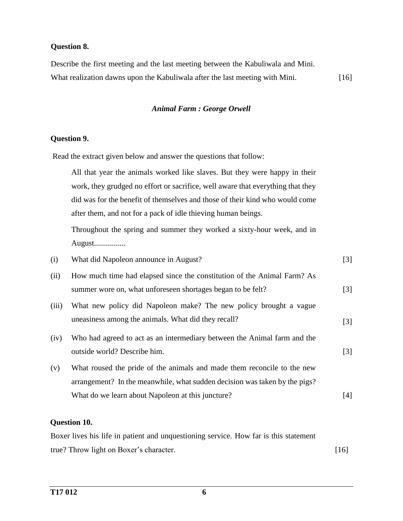## **Question 8.**

Describe the first meeting and the last meeting between the Kabuliwala and Mini. What realization dawns upon the Kabuliwala after the last meeting with Mini. [16]

#### *Animal Farm : George Orwell*

#### **Question 9.**

Read the extract given below and answer the questions that follow:

All that year the animals worked like slaves. But they were happy in their work, they grudged no effort or sacrifice, well aware that everything that they did was for the benefit of themselves and those of their kind who would come after them, and not for a pack of idle thieving human beings.

Throughout the spring and summer they worked a sixty-hour week, and in August................

| (i)   | What did Napoleon announce in August?                                                                                                                 | [3]               |
|-------|-------------------------------------------------------------------------------------------------------------------------------------------------------|-------------------|
| (ii)  | How much time had elapsed since the constitution of the Animal Farm? As<br>summer wore on, what unforeseen shortages began to be felt?                | $\lceil 3 \rceil$ |
| (iii) | What new policy did Napoleon make? The new policy brought a vague<br>uneasiness among the animals. What did they recall?                              | $\lceil 3 \rceil$ |
| (iv)  | Who had agreed to act as an intermediary between the Animal farm and the<br>outside world? Describe him.                                              | $\lceil 3 \rceil$ |
| (v)   | What roused the pride of the animals and made them reconcile to the new<br>arrangement? In the meanwhile, what sudden decision was taken by the pigs? |                   |
|       | What do we learn about Napoleon at this juncture?                                                                                                     | $[4]$             |

# **Question 10.**

Boxer lives his life in patient and unquestioning service. How far is this statement true? Throw light on Boxer's character. [16]